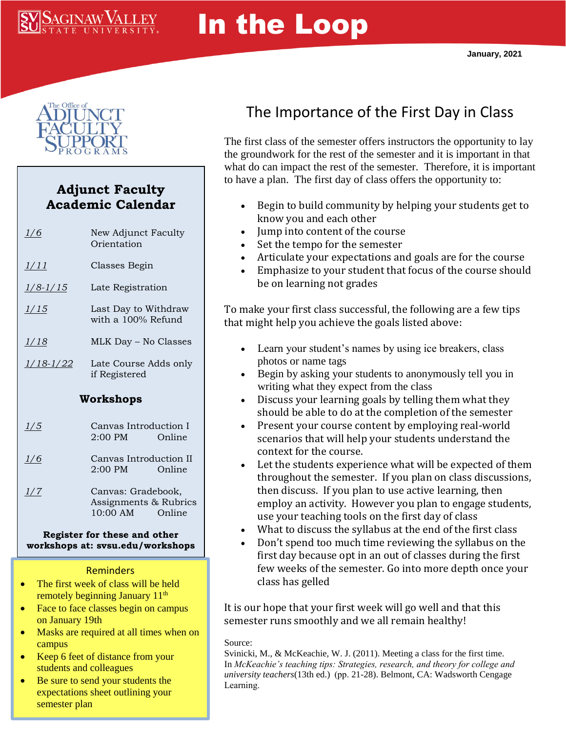# In the Loop



**SAGINAW VALLEY** 

## **Adjunct Faculty Academic Calendar**

| 1/6              | New Adjunct Faculty<br>Orientation                                |        |
|------------------|-------------------------------------------------------------------|--------|
| 1/11             | Classes Begin                                                     |        |
| $1/8 - 1/15$     | Late Registration                                                 |        |
| <u> 1/15</u>     | Last Day to Withdraw<br>with a 100% Refund                        |        |
| <u> 1/18</u>     | MLK Day - No Classes                                              |        |
| <u>1/18-1/22</u> | Late Course Adds only<br>if Registered                            |        |
| Workshops        |                                                                   |        |
| 1/5              | Canvas Introduction I<br>$2:00$ PM                                | Online |
| 1/6              | Canvas Introduction II<br>2:00 PM<br>Online                       |        |
| 1/7              | Canvas: Gradebook,<br>Assignments & Rubrics<br>10:00 AM<br>Online |        |

#### **Register for these and other workshops at: svsu.edu/workshops**

#### **Reminders**

- The first week of class will be held remotely beginning January 11<sup>th</sup>
- Face to face classes begin on campus on January 19th
- Masks are required at all times when on campus
- Keep 6 feet of distance from your students and colleagues
- Be sure to send your students the expectations sheet outlining your semester plan

# The Importance of the First Day in Class

The first class of the semester offers instructors the opportunity to lay the groundwork for the rest of the semester and it is important in that what do can impact the rest of the semester. Therefore, it is important to have a plan. The first day of class offers the opportunity to:

- Begin to build community by helping your students get to know you and each other
- Jump into content of the course
- Set the tempo for the semester
- Articulate your expectations and goals are for the course
- Emphasize to your student that focus of the course should be on learning not grades

To make your first class successful, the following are a few tips that might help you achieve the goals listed above:

- Learn your student's names by using ice breakers, class photos or name tags
- Begin by asking your students to anonymously tell you in writing what they expect from the class
- Discuss your learning goals by telling them what they should be able to do at the completion of the semester
- Present your course content by employing real-world scenarios that will help your students understand the context for the course.
- Let the students experience what will be expected of them throughout the semester. If you plan on class discussions, then discuss. If you plan to use active learning, then employ an activity. However you plan to engage students, use your teaching tools on the first day of class
- What to discuss the syllabus at the end of the first class
- Don't spend too much time reviewing the syllabus on the first day because opt in an out of classes during the first few weeks of the semester. Go into more depth once your class has gelled

It is our hope that your first week will go well and that this semester runs smoothly and we all remain healthy!

#### Source:

Svinicki, M., & McKeachie, W. J. (2011). Meeting a class for the first time. In *McKeachie's teaching tips: Strategies, research, and theory for college and university teachers*(13th ed.)  (pp. 21-28). Belmont, CA: Wadsworth Cengage Learning.